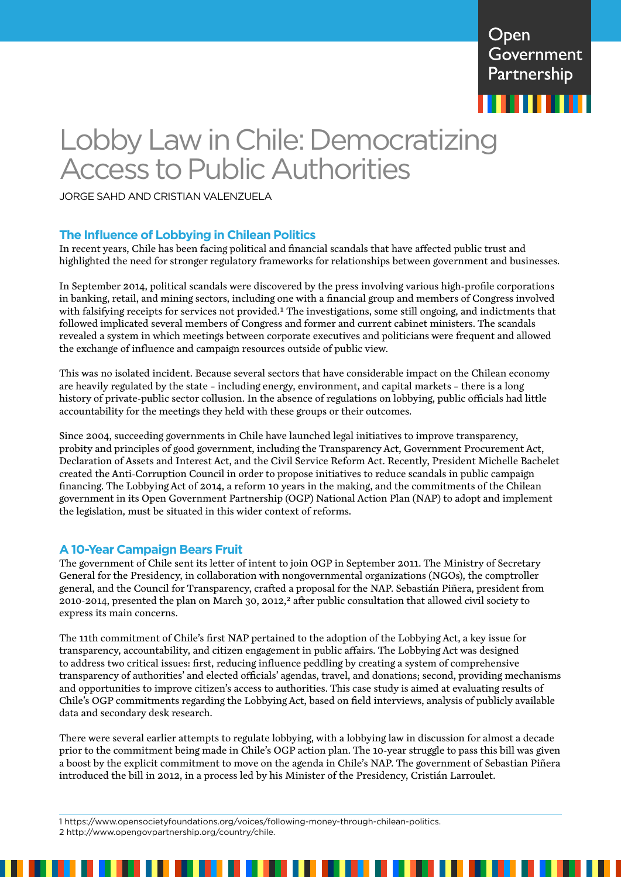

# Lobby Law in Chile: Democratizing Access to Public Authorities

JORGE SAHD AND CRISTIAN VALENZUELA

## **The Influence of Lobbying in Chilean Politics**

In recent years, Chile has been facing political and financial scandals that have affected public trust and highlighted the need for stronger regulatory frameworks for relationships between government and businesses.

In September 2014, political scandals were discovered by the press involving various high-profile corporations in banking, retail, and mining sectors, including one with a financial group and members of Congress involved with falsifying receipts for services not provided.<sup>1</sup> The investigations, some still ongoing, and indictments that followed implicated several members of Congress and former and current cabinet ministers. The scandals revealed a system in which meetings between corporate executives and politicians were frequent and allowed the exchange of influence and campaign resources outside of public view.

This was no isolated incident. Because several sectors that have considerable impact on the Chilean economy are heavily regulated by the state – including energy, environment, and capital markets – there is a long history of private-public sector collusion. In the absence of regulations on lobbying, public officials had little accountability for the meetings they held with these groups or their outcomes.

Since 2004, succeeding governments in Chile have launched legal initiatives to improve transparency, probity and principles of good government, including the Transparency Act, Government Procurement Act, Declaration of Assets and Interest Act, and the Civil Service Reform Act. Recently, President Michelle Bachelet created the Anti-Corruption Council in order to propose initiatives to reduce scandals in public campaign financing. The Lobbying Act of 2014, a reform 10 years in the making, and the commitments of the Chilean government in its Open Government Partnership (OGP) National Action Plan (NAP) to adopt and implement the legislation, must be situated in this wider context of reforms.

#### **A 10-Year Campaign Bears Fruit**

The government of Chile sent its letter of intent to join OGP in September 2011. The Ministry of Secretary General for the Presidency, in collaboration with nongovernmental organizations (NGOs), the comptroller general, and the Council for Transparency, crafted a proposal for the NAP. Sebastián Piñera, president from 2010-2014, presented the plan on March 30, 2012,<sup>2</sup> after public consultation that allowed civil society to express its main concerns.

The 11th commitment of Chile's first NAP pertained to the adoption of the Lobbying Act, a key issue for transparency, accountability, and citizen engagement in public affairs. The Lobbying Act was designed to address two critical issues: first, reducing influence peddling by creating a system of comprehensive transparency of authorities' and elected officials' agendas, travel, and donations; second, providing mechanisms and opportunities to improve citizen's access to authorities. This case study is aimed at evaluating results of Chile's OGP commitments regarding the Lobbying Act, based on field interviews, analysis of publicly available data and secondary desk research.

There were several earlier attempts to regulate lobbying, with a lobbying law in discussion for almost a decade prior to the commitment being made in Chile's OGP action plan. The 10-year struggle to pass this bill was given a boost by the explicit commitment to move on the agenda in Chile's NAP. The government of Sebastian Piñera introduced the bill in 2012, in a process led by his Minister of the Presidency, Cristián Larroulet.

1 <https://www.opensocietyfoundations.org/voices/following-money-through-chilean-politics.> 2 <http://www.opengovpartnership.org/country/chile.>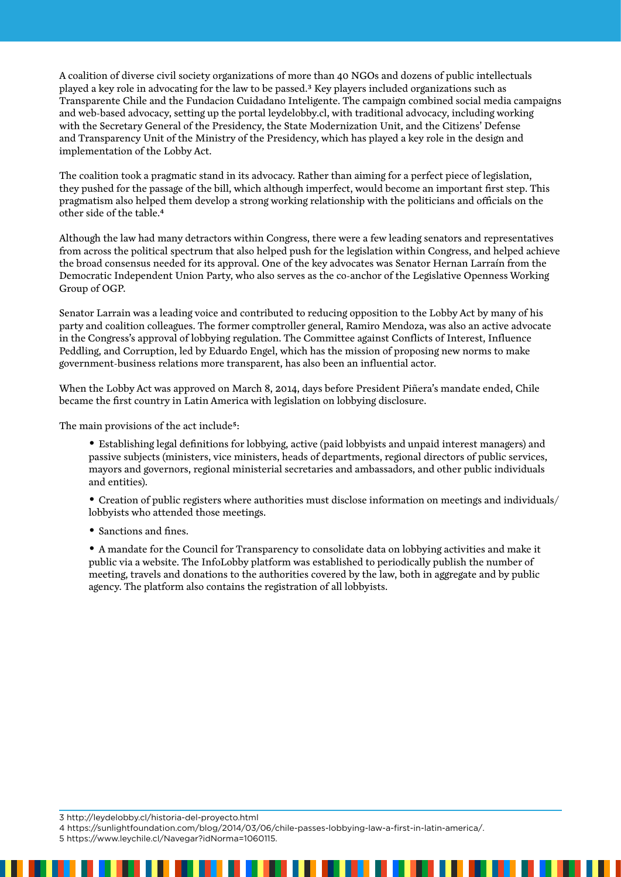A coalition of diverse civil society organizations of more than 40 NGOs and dozens of public intellectuals played a key role in advocating for the law to be passed.3 Key players included organizations such as Transparente Chile and the Fundacion Cuidadano Inteligente. The campaign combined social media campaigns and web-based advocacy, setting up the portal [leydelobby.cl](http://leydelobby.cl/), with traditional advocacy, including working with the Secretary General of the Presidency, the State Modernization Unit, and the Citizens' Defense and Transparency Unit of the Ministry of the Presidency, which has played a key role in the design and implementation of the Lobby Act.

The coalition took a pragmatic stand in its advocacy. Rather than aiming for a perfect piece of legislation, they pushed for the passage of the bill, which although imperfect, would become an important first step. This pragmatism also helped them develop a strong working relationship with the politicians and officials on the other side of the table.4

Although the law had many detractors within Congress, there were a few leading senators and representatives from across the political spectrum that also helped push for the legislation within Congress, and helped achieve the broad consensus needed for its approval. One of the key advocates was Senator Hernan Larraín from the Democratic Independent Union Party, who also serves as the co-anchor of the Legislative Openness Working Group of OGP.

Senator Larrain was a leading voice and contributed to reducing opposition to the Lobby Act by many of his party and coalition colleagues. The former comptroller general, Ramiro Mendoza, was also an active advocate in the Congress's approval of lobbying regulation. The Committee against Conflicts of Interest, Influence Peddling, and Corruption, led by Eduardo Engel, which has the mission of proposing new norms to make government-business relations more transparent, has also been an influential actor.

When the Lobby Act was approved on March 8, 2014, days before President Piñera's mandate ended, Chile became the first country in Latin America with legislation on lobbying disclosure.

The main provisions of the act include<sup>5</sup>:

**•** Establishing legal definitions for lobbying, active (paid lobbyists and unpaid interest managers) and passive subjects (ministers, vice ministers, heads of departments, regional directors of public services, mayors and governors, regional ministerial secretaries and ambassadors, and other public individuals and entities).

**•** Creation of public registers where authorities must disclose information on meetings and individuals/ lobbyists who attended those meetings.

**•** Sanctions and fines.

**•** A mandate for the Council for Transparency to consolidate data on lobbying activities and make it public via a website. The InfoLobby platform was established to periodically publish the number of meeting, travels and donations to the authorities covered by the law, both in aggregate and by public agency. The platform also contains the registration of all lobbyists.

3 <http://leydelobby.cl/historia-del-proyecto.html>

4<https://sunlightfoundation.com/blog/2014/03/06/chile-passes-lobbying-law-a-first-in-latin-america/.>

5 <https://www.leychile.cl/Navegar?idNorma=1060115.>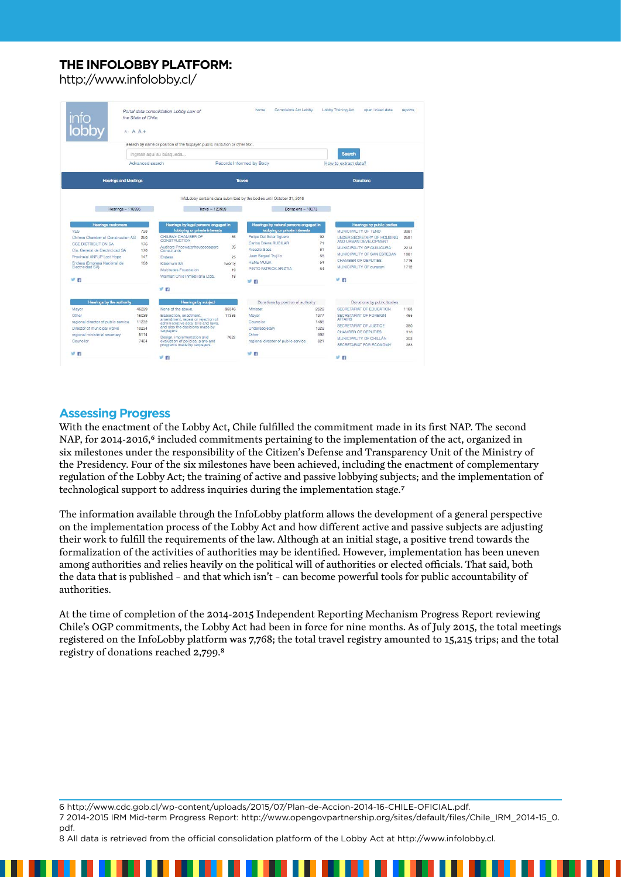# **THE INFOLOBBY PLATFORM:**

http://www.infolobby.cl/

|                                                 | the State of Chile.<br>$A - A +$ | Portal data consolidation Lobby Law of                                        |        | Complaints Act Lobby<br>home                                                                  |                      | Lobby Training Act                       | open linked data                                            | reports |
|-------------------------------------------------|----------------------------------|-------------------------------------------------------------------------------|--------|-----------------------------------------------------------------------------------------------|----------------------|------------------------------------------|-------------------------------------------------------------|---------|
|                                                 |                                  | search by name or position of the taxpayer, public institution or other text. |        |                                                                                               |                      |                                          |                                                             |         |
|                                                 | Ingrese agui su búsqueda         |                                                                               |        |                                                                                               | Search               |                                          |                                                             |         |
|                                                 | Advanced search                  | Records Informed by Body                                                      |        |                                                                                               | How to extract data? |                                          |                                                             |         |
| <b>Hearings and Meetings</b>                    |                                  |                                                                               |        | <b>Travels</b>                                                                                |                      | <b>Donations</b>                         |                                                             |         |
| $Hearinos = 116995$                             |                                  | $Travel = 123959$                                                             |        | InfoLobby contains data submitted by the bodies until October 31, 2016<br>Donations $= 13073$ |                      |                                          |                                                             |         |
| <b>Hearings customers</b>                       |                                  | Hearings by legal persons engaged in                                          |        | Hearings by natural persons engaged in                                                        |                      |                                          | Hearings by public bodies                                   |         |
| <b>YES</b>                                      | 733                              | lobbying or private Interests                                                 |        | lobbying or private interests                                                                 |                      | MUNICIPALITY OF TENO                     |                                                             | 3381    |
| Chilean Chamber of Construction AG              | 250                              | CHILFAN CHAMBER OF<br><b>CONSTRUCTION</b>                                     | 35     | Felipe Del Solar Acüero                                                                       | 92                   |                                          | <b>UNDER SECRETARY OF HOUSING</b><br>AND LIRBAN DEVELOPMENT | 2591    |
| <b>CGE DISTRIBUTION SA</b>                      | 176                              | Auditors Pricewaterhousecoopers                                               | 26     | Carlos Drews RUBILAR                                                                          | 71                   |                                          | MUNICIPALITY OF QUILICURA                                   | 2212    |
| Cia, General de Electricidad SA                 | 170                              | Consultants                                                                   |        | Arcadio Saez                                                                                  | 61<br>55             |                                          | MUNICIPALITY OF SAN ESTEBAN                                 | 1981    |
| Provincial ANFUP Last Hope                      | 147                              | Endesa                                                                        | 25     | Juan Seguel Trujillo<br><b>RENE MUGA</b>                                                      | 54                   | CHAMBER OF DEPUTIES                      |                                                             | 1716    |
| Endesa (Empresa Nacional de<br>Electricidad SAV | 108                              | Kibernum SA                                                                   | twenty | PINTO PATRICK ARIZTIA                                                                         | 54                   | MUNICIPALITY OF curacavi                 |                                                             | 1712    |
|                                                 |                                  | Multitudes Foundation                                                         | 19     |                                                                                               |                      |                                          |                                                             |         |
| 罗伯                                              |                                  | Walmart Chile Inmobiliaria Ltda.                                              | 18     | w<br>$\overline{16}$                                                                          |                      | 罗群                                       |                                                             |         |
|                                                 |                                  | 3 样                                                                           |        |                                                                                               |                      |                                          |                                                             |         |
| Hearings by the authority                       |                                  | <b>Hearings by subject</b>                                                    |        | Donations by position of authority                                                            |                      |                                          | Donations by public bodies                                  |         |
| Mayor                                           | 46299                            | None of the above.                                                            | 96346  | Minister                                                                                      | 2629                 |                                          | SECRETABLAT OF EDUCATION.                                   | 1163    |
| Other                                           | 16039                            | Elaboration, enactment,                                                       | 11335  | Mayor                                                                                         | 1977                 | SECRETARIAT OF FOREIGN<br><b>AFFAIRS</b> |                                                             | 465     |
| regional director of public service             | 11232                            | amendment, repeal or rejection of<br>administrative acts, bills and laws.     |        | Councilor                                                                                     | 1485                 | SECRETARIAT OF JUSTICE                   |                                                             | 380     |
| Director of municipal works                     | 10234                            | and also the decisions made by<br>taxpavers                                   |        | Undersecretary                                                                                | 1329                 | CHAMBER OF DEPUTIES                      |                                                             | 310     |
| regional ministerial secretary                  | 8114                             | Design, implementation and                                                    | 7622   | Other                                                                                         | 992                  | MUNICIPALITY OF CHILLAN                  |                                                             | 303     |
| Councilor                                       | 7404                             | evaluation of policies, plans and<br>programs made by taxpayers.              |        | regional director of public service                                                           | 821                  |                                          | SECRETARIAT FOR ECONOMY                                     | 283     |
|                                                 |                                  |                                                                               |        |                                                                                               |                      |                                          |                                                             |         |

#### **Assessing Progress**

With the enactment of the Lobby Act, Chile fulfilled the commitment made in its first NAP. The second NAP, for 2014-2016,<sup>6</sup> included commitments pertaining to the implementation of the act, organized in six milestones under the responsibility of the Citizen's Defense and Transparency Unit of the Ministry of the Presidency. Four of the six milestones have been achieved, including the enactment of complementary regulation of the Lobby Act; the training of active and passive lobbying subjects; and the implementation of technological support to address inquiries during the implementation stage.7

The information available through the InfoLobby platform allows the development of a general perspective on the implementation process of the Lobby Act and how different active and passive subjects are adjusting their work to fulfill the requirements of the law. Although at an initial stage, a positive trend towards the formalization of the activities of authorities may be identified. However, implementation has been uneven among authorities and relies heavily on the political will of authorities or elected officials. That said, both the data that is published – and that which isn't – can become powerful tools for public accountability of authorities.

At the time of completion of the 2014-2015 Independent Reporting Mechanism Progress Report reviewing Chile's OGP commitments, the Lobby Act had been in force for nine months. As of July 2015, the total meetings registered on the InfoLobby platform was 7,768; the total travel registry amounted to 15,215 trips; and the total registry of donations reached 2,799.8

6 [http://www.cdc.gob.cl/wp-content/uploads/2015/07/Plan-de-Accion-2014-16-CHILE-OFICIAL.pdf.](http://www.cdc.gob.cl/wp-content/uploads/2015/07/Plan-de-Accion-2014-16-CHILE-OFICIAL.pdf) 7 2014-2015 IRM Mid-term Progress Report: [http://www.opengovpartnership.org/sites/default/files/Chile\\_IRM\\_2014-15\\_0.](http://www.opengovpartnership.org/sites/default/files/Chile_IRM_2014-15_0.pdf) [pdf.](http://www.opengovpartnership.org/sites/default/files/Chile_IRM_2014-15_0.pdf)

8 All data is retrieved from the official consolidation platform of the Lobby Act at<http://www.infolobby.cl>.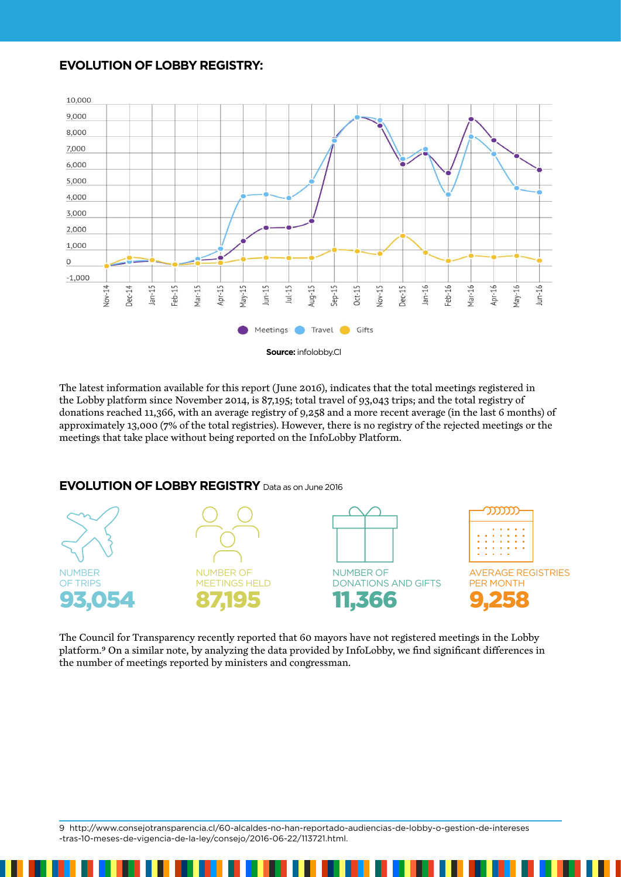#### **EVOLUTION OF LOBBY REGISTRY:**



The latest information available for this report (June 2016), indicates that the total meetings registered in the Lobby platform since November 2014, is 87,195; total travel of 93,043 trips; and the total registry of donations reached 11,366, with an average registry of 9,258 and a more recent average (in the last 6 months) of approximately 13,000 (7% of the total registries). However, there is no registry of the rejected meetings or the meetings that take place without being reported on the InfoLobby Platform.

# **EVOLUTION OF LOBBY REGISTRY** Data as on June 2016



The Council for Transparency recently reported that 60 mayors have not registered meetings in the Lobby platform.9 On a similar note, by analyzing the data provided by InfoLobby, we find significant differences in the number of meetings reported by ministers and congressman.

9 [http://www.consejotransparencia.cl/60-alcaldes-no-han-reportado-audiencias-de-lobby-o-gestion-de-intereses](http://www.consejotransparencia.cl/60-alcaldes-no-han-reportado-audiencias-de-lobby-o-gestion-de-intereses-tras-10-meses-de-vigencia-de-la-ley/consejo/2016-06-22/113721.html.) [-tras-10-meses-de-vigencia-de-la-ley/consejo/2016-06-22/113721.html.](http://www.consejotransparencia.cl/60-alcaldes-no-han-reportado-audiencias-de-lobby-o-gestion-de-intereses-tras-10-meses-de-vigencia-de-la-ley/consejo/2016-06-22/113721.html.)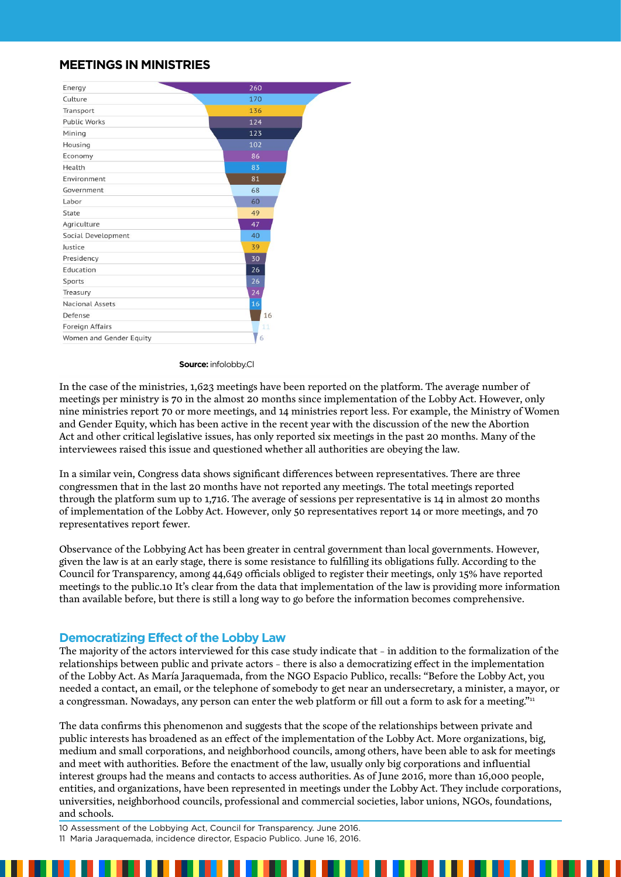## **MEETINGS IN MINISTRIES**

| Energy                  | 260 |
|-------------------------|-----|
| Culture                 | 170 |
| Transport               | 136 |
| <b>Public Works</b>     | 124 |
| Mining                  | 123 |
| Housing                 | 102 |
| Economy                 | 86  |
| Health                  | 83  |
| Environment             | 81  |
| Government              | 68  |
| Labor                   | 60  |
| State                   | 49  |
| Agriculture             | 47  |
| Social Development      | 40  |
| Justice                 | 39  |
| Presidency              | 30  |
| Education               | 26  |
| Sports                  | 26  |
| Treasury                | 24  |
| <b>Nacional Assets</b>  | 16  |
| Defense                 | 16  |
| Foreign Affairs         | 11  |
| Women and Gender Equity | 6   |

**Source:** infolobby.Cl

In the case of the ministries, 1,623 meetings have been reported on the platform. The average number of meetings per ministry is 70 in the almost 20 months since implementation of the Lobby Act. However, only nine ministries report 70 or more meetings, and 14 ministries report less. For example, the Ministry of Women and Gender Equity, which has been active in the recent year with the discussion of the new the Abortion Act and other critical legislative issues, has only reported six meetings in the past 20 months. Many of the interviewees raised this issue and questioned whether all authorities are obeying the law.

In a similar vein, Congress data shows significant differences between representatives. There are three congressmen that in the last 20 months have not reported any meetings. The total meetings reported through the platform sum up to 1,716. The average of sessions per representative is 14 in almost 20 months of implementation of the Lobby Act. However, only 50 representatives report 14 or more meetings, and 70 representatives report fewer.

Observance of the Lobbying Act has been greater in central government than local governments. However, given the law is at an early stage, there is some resistance to fulfilling its obligations fully. According to the Council for Transparency, among 44,649 officials obliged to register their meetings, only 15% have reported meetings to the public.10 It's clear from the data that implementation of the law is providing more information than available before, but there is still a long way to go before the information becomes comprehensive.

#### **Democratizing Effect of the Lobby Law**

The majority of the actors interviewed for this case study indicate that – in addition to the formalization of the relationships between public and private actors – there is also a democratizing effect in the implementation of the Lobby Act. As María Jaraquemada, from the NGO Espacio Publico, recalls: "Before the Lobby Act, you needed a contact, an email, or the telephone of somebody to get near an undersecretary, a minister, a mayor, or a congressman. Nowadays, any person can enter the web platform or fill out a form to ask for a meeting."<sup>11</sup>

The data confirms this phenomenon and suggests that the scope of the relationships between private and public interests has broadened as an effect of the implementation of the Lobby Act. More organizations, big, medium and small corporations, and neighborhood councils, among others, have been able to ask for meetings and meet with authorities. Before the enactment of the law, usually only big corporations and influential interest groups had the means and contacts to access authorities. As of June 2016, more than 16,000 people, entities, and organizations, have been represented in meetings under the Lobby Act. They include corporations, universities, neighborhood councils, professional and commercial societies, labor unions, NGOs, foundations, and schools.

10 Assessment of the Lobbying Act, Council for Transparency. June 2016. 11 Maria Jaraquemada, incidence director, Espacio Publico. June 16, 2016.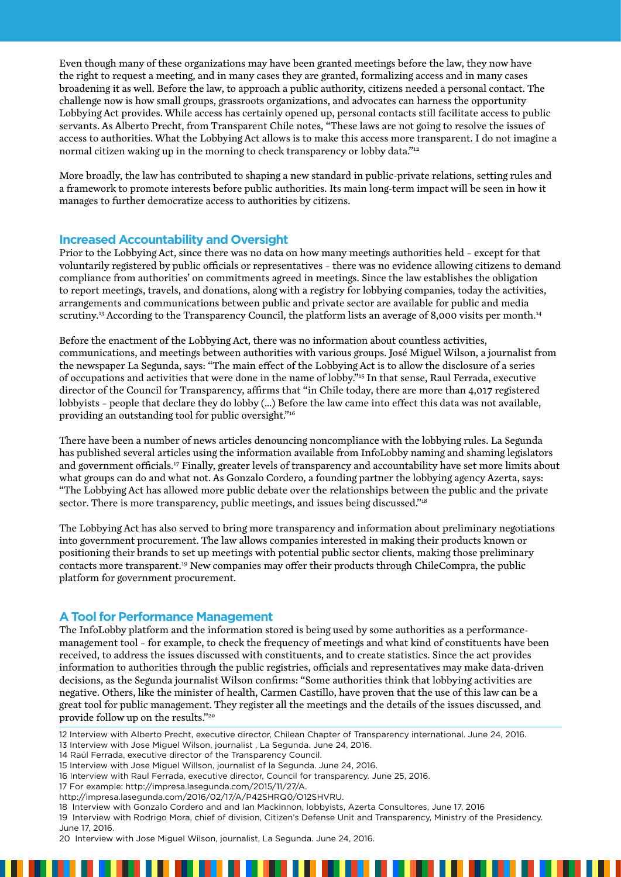Even though many of these organizations may have been granted meetings before the law, they now have the right to request a meeting, and in many cases they are granted, formalizing access and in many cases broadening it as well. Before the law, to approach a public authority, citizens needed a personal contact. The challenge now is how small groups, grassroots organizations, and advocates can harness the opportunity Lobbying Act provides. While access has certainly opened up, personal contacts still facilitate access to public servants. As Alberto Precht, from Transparent Chile notes, "These laws are not going to resolve the issues of access to authorities. What the Lobbying Act allows is to make this access more transparent. I do not imagine a normal citizen waking up in the morning to check transparency or lobby data."12

More broadly, the law has contributed to shaping a new standard in public-private relations, setting rules and a framework to promote interests before public authorities. Its main long-term impact will be seen in how it manages to further democratize access to authorities by citizens.

#### **Increased Accountability and Oversight**

Prior to the Lobbying Act, since there was no data on how many meetings authorities held – except for that voluntarily registered by public officials or representatives – there was no evidence allowing citizens to demand compliance from authorities' on commitments agreed in meetings. Since the law establishes the obligation to report meetings, travels, and donations, along with a registry for lobbying companies, today the activities, arrangements and communications between public and private sector are available for public and media scrutiny.<sup>13</sup> According to the Transparency Council, the platform lists an average of 8,000 visits per month.<sup>14</sup>

Before the enactment of the Lobbying Act, there was no information about countless activities, communications, and meetings between authorities with various groups. José Miguel Wilson, a journalist from the newspaper La Segunda, says: "The main effect of the Lobbying Act is to allow the disclosure of a series of occupations and activities that were done in the name of lobby."15 In that sense, Raul Ferrada, executive director of the Council for Transparency, affirms that "in Chile today, there are more than 4,017 registered lobbyists – people that declare they do lobby (…) Before the law came into effect this data was not available, providing an outstanding tool for public oversight."16

There have been a number of news articles denouncing noncompliance with the lobbying rules. La Segunda has published several articles using the information available from InfoLobby naming and shaming legislators and government officials.<sup>17</sup> Finally, greater levels of transparency and accountability have set more limits about what groups can do and what not. As Gonzalo Cordero, a founding partner the lobbying agency Azerta, says: "The Lobbying Act has allowed more public debate over the relationships between the public and the private sector. There is more transparency, public meetings, and issues being discussed."<sup>18</sup>

The Lobbying Act has also served to bring more transparency and information about preliminary negotiations into government procurement. The law allows companies interested in making their products known or positioning their brands to set up meetings with potential public sector clients, making those preliminary contacts more transparent.19 New companies may offer their products through ChileCompra, the public platform for government procurement.

#### **A Tool for Performance Management**

The InfoLobby platform and the information stored is being used by some authorities as a performancemanagement tool – for example, to check the frequency of meetings and what kind of constituents have been received, to address the issues discussed with constituents, and to create statistics. Since the act provides information to authorities through the public registries, officials and representatives may make data-driven decisions, as the Segunda journalist Wilson confirms: "Some authorities think that lobbying activities are negative. Others, like the minister of health, Carmen Castillo, have proven that the use of this law can be a great tool for public management. They register all the meetings and the details of the issues discussed, and provide follow up on the results."20

12 Interview with Alberto Precht, executive director, Chilean Chapter of Transparency international. June 24, 2016.

17 For example: [http://impresa.lasegunda.com/2015/11/27/A.](http://impresa.lasegunda.com/2015/11/27/A)

18 Interview with Gonzalo Cordero and and Ian Mackinnon, lobbyists, Azerta Consultores, June 17, 2016 19 Interview with Rodrigo Mora, chief of division, Citizen's Defense Unit and Transparency, Ministry of the Presidency. June 17, 2016.

<sup>13</sup> Interview with Jose Miguel Wilson, journalist , La Segunda. June 24, 2016.

<sup>14</sup> Raúl Ferrada, executive director of the Transparency Council.

<sup>15</sup> Interview with Jose Miguel Willson, journalist of la Segunda. June 24, 2016.

<sup>16</sup> Interview with Raul Ferrada, executive director, Council for transparency. June 25, 2016.

http://impresa.lasegunda.com/2016/02/17/A/P42SHRQ0/O12SHVRU.

<sup>20</sup> Interview with Jose Miguel Wilson, journalist, La Segunda. June 24, 2016.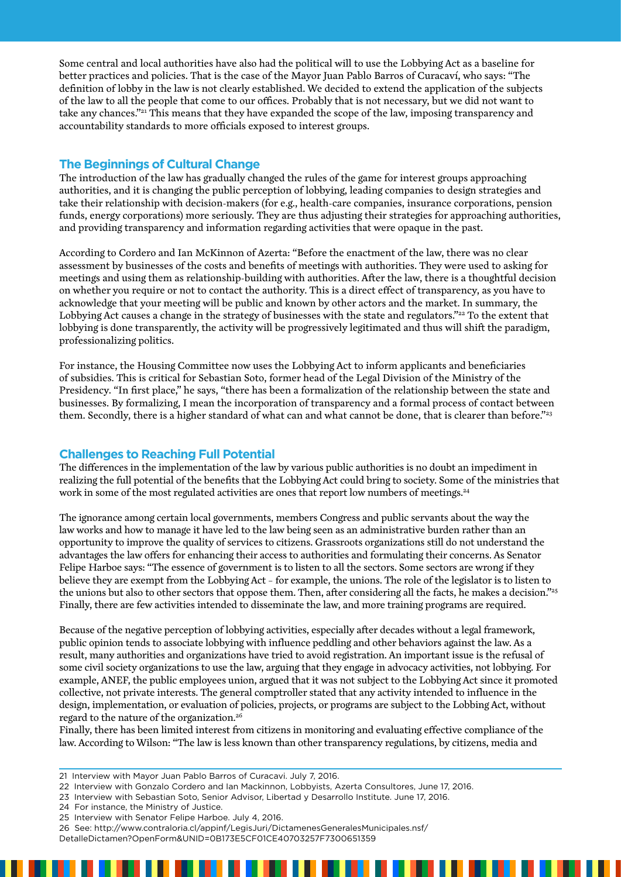Some central and local authorities have also had the political will to use the Lobbying Act as a baseline for better practices and policies. That is the case of the Mayor Juan Pablo Barros of Curacaví, who says: "The definition of lobby in the law is not clearly established. We decided to extend the application of the subjects of the law to all the people that come to our offices. Probably that is not necessary, but we did not want to take any chances."21 This means that they have expanded the scope of the law, imposing transparency and accountability standards to more officials exposed to interest groups.

#### **The Beginnings of Cultural Change**

The introduction of the law has gradually changed the rules of the game for interest groups approaching authorities, and it is changing the public perception of lobbying, leading companies to design strategies and take their relationship with decision-makers (for e.g., health-care companies, insurance corporations, pension funds, energy corporations) more seriously. They are thus adjusting their strategies for approaching authorities, and providing transparency and information regarding activities that were opaque in the past.

According to Cordero and Ian McKinnon of Azerta: "Before the enactment of the law, there was no clear assessment by businesses of the costs and benefits of meetings with authorities. They were used to asking for meetings and using them as relationship-building with authorities. After the law, there is a thoughtful decision on whether you require or not to contact the authority. This is a direct effect of transparency, as you have to acknowledge that your meeting will be public and known by other actors and the market. In summary, the Lobbying Act causes a change in the strategy of businesses with the state and regulators."<sup>22</sup> To the extent that lobbying is done transparently, the activity will be progressively legitimated and thus will shift the paradigm, professionalizing politics.

For instance, the Housing Committee now uses the Lobbying Act to inform applicants and beneficiaries of subsidies. This is critical for Sebastian Soto, former head of the Legal Division of the Ministry of the Presidency. "In first place," he says, "there has been a formalization of the relationship between the state and businesses. By formalizing, I mean the incorporation of transparency and a formal process of contact between them. Secondly, there is a higher standard of what can and what cannot be done, that is clearer than before."<sup>23</sup>

#### **Challenges to Reaching Full Potential**

The differences in the implementation of the law by various public authorities is no doubt an impediment in realizing the full potential of the benefits that the Lobbying Act could bring to society. Some of the ministries that work in some of the most regulated activities are ones that report low numbers of meetings.<sup>24</sup>

The ignorance among certain local governments, members Congress and public servants about the way the law works and how to manage it have led to the law being seen as an administrative burden rather than an opportunity to improve the quality of services to citizens. Grassroots organizations still do not understand the advantages the law offers for enhancing their access to authorities and formulating their concerns. As Senator Felipe Harboe says: "The essence of government is to listen to all the sectors. Some sectors are wrong if they believe they are exempt from the Lobbying Act – for example, the unions. The role of the legislator is to listen to the unions but also to other sectors that oppose them. Then, after considering all the facts, he makes a decision."<sup>25</sup> Finally, there are few activities intended to disseminate the law, and more training programs are required.

Because of the negative perception of lobbying activities, especially after decades without a legal framework, public opinion tends to associate lobbying with influence peddling and other behaviors against the law. As a result, many authorities and organizations have tried to avoid registration. An important issue is the refusal of some civil society organizations to use the law, arguing that they engage in advocacy activities, not lobbying. For example, ANEF, the public employees union, argued that it was not subject to the Lobbying Act since it promoted collective, not private interests. The general comptroller stated that any activity intended to influence in the design, implementation, or evaluation of policies, projects, or programs are subject to the Lobbing Act, without regard to the nature of the organization.26

Finally, there has been limited interest from citizens in monitoring and evaluating effective compliance of the law. According to Wilson: "The law is less known than other transparency regulations, by citizens, media and

- 21 Interview with Mayor Juan Pablo Barros of Curacavi. July 7, 2016.
- 22 Interview with Gonzalo Cordero and Ian Mackinnon, Lobbyists, Azerta Consultores, June 17, 2016.
- 23 Interview with Sebastian Soto, Senior Advisor, Libertad y Desarrollo Institute. June 17, 2016.
- 24 For instance, the Ministry of Justice.
- 25 Interview with Senator Felipe Harboe. July 4, 2016.
- 26 See: [http://www.contraloria.cl/appinf/LegisJuri/DictamenesGeneralesMunicipales.nsf/](http://www.contraloria.cl/appinf/LegisJuri/DictamenesGeneralesMunicipales.nsf/DetalleDictamen?OpenForm&UNID=0B173E5CF01CE40703257F7300651359)
- [DetalleDictamen?OpenForm&UNID=0B173E5CF01CE40703257F7300651359](http://www.contraloria.cl/appinf/LegisJuri/DictamenesGeneralesMunicipales.nsf/DetalleDictamen?OpenForm&UNID=0B173E5CF01CE40703257F7300651359)

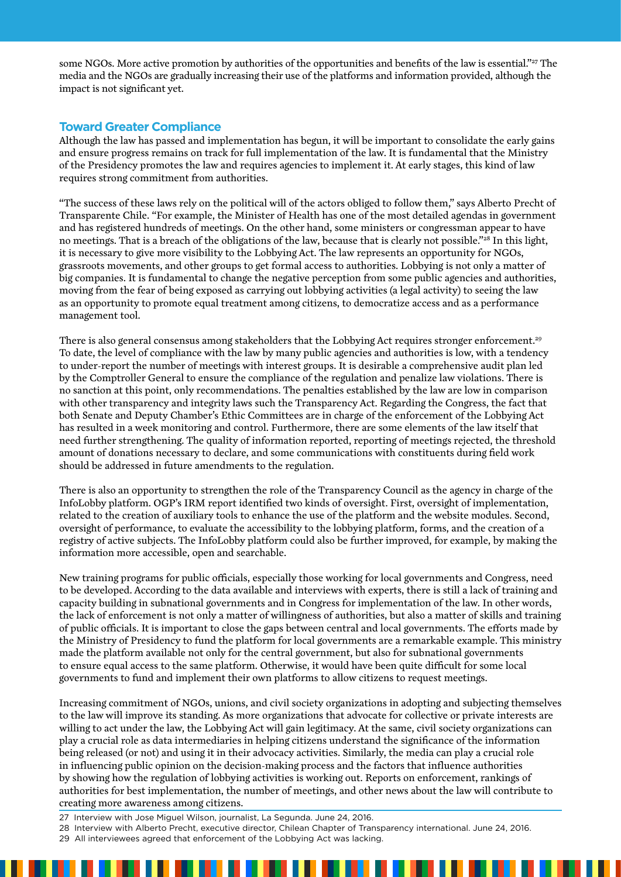some NGOs. More active promotion by authorities of the opportunities and benefits of the law is essential."<sup>27</sup> The media and the NGOs are gradually increasing their use of the platforms and information provided, although the impact is not significant yet.

## **Toward Greater Compliance**

Although the law has passed and implementation has begun, it will be important to consolidate the early gains and ensure progress remains on track for full implementation of the law. It is fundamental that the Ministry of the Presidency promotes the law and requires agencies to implement it. At early stages, this kind of law requires strong commitment from authorities.

"The success of these laws rely on the political will of the actors obliged to follow them," says Alberto Precht of Transparente Chile. "For example, the Minister of Health has one of the most detailed agendas in government and has registered hundreds of meetings. On the other hand, some ministers or congressman appear to have no meetings. That is a breach of the obligations of the law, because that is clearly not possible."28 In this light, it is necessary to give more visibility to the Lobbying Act. The law represents an opportunity for NGOs, grassroots movements, and other groups to get formal access to authorities. Lobbying is not only a matter of big companies. It is fundamental to change the negative perception from some public agencies and authorities, moving from the fear of being exposed as carrying out lobbying activities (a legal activity) to seeing the law as an opportunity to promote equal treatment among citizens, to democratize access and as a performance management tool.

There is also general consensus among stakeholders that the Lobbying Act requires stronger enforcement.<sup>29</sup> To date, the level of compliance with the law by many public agencies and authorities is low, with a tendency to under-report the number of meetings with interest groups. It is desirable a comprehensive audit plan led by the Comptroller General to ensure the compliance of the regulation and penalize law violations. There is no sanction at this point, only recommendations. The penalties established by the law are low in comparison with other transparency and integrity laws such the Transparency Act. Regarding the Congress, the fact that both Senate and Deputy Chamber's Ethic Committees are in charge of the enforcement of the Lobbying Act has resulted in a week monitoring and control. Furthermore, there are some elements of the law itself that need further strengthening. The quality of information reported, reporting of meetings rejected, the threshold amount of donations necessary to declare, and some communications with constituents during field work should be addressed in future amendments to the regulation.

There is also an opportunity to strengthen the role of the Transparency Council as the agency in charge of the InfoLobby platform. OGP's IRM report identified two kinds of oversight. First, oversight of implementation, related to the creation of auxiliary tools to enhance the use of the platform and the website modules. Second, oversight of performance, to evaluate the accessibility to the lobbying platform, forms, and the creation of a registry of active subjects. The InfoLobby platform could also be further improved, for example, by making the information more accessible, open and searchable.

New training programs for public officials, especially those working for local governments and Congress, need to be developed. According to the data available and interviews with experts, there is still a lack of training and capacity building in subnational governments and in Congress for implementation of the law. In other words, the lack of enforcement is not only a matter of willingness of authorities, but also a matter of skills and training of public officials. It is important to close the gaps between central and local governments. The efforts made by the Ministry of Presidency to fund the platform for local governments are a remarkable example. This ministry made the platform available not only for the central government, but also for subnational governments to ensure equal access to the same platform. Otherwise, it would have been quite difficult for some local governments to fund and implement their own platforms to allow citizens to request meetings.

Increasing commitment of NGOs, unions, and civil society organizations in adopting and subjecting themselves to the law will improve its standing. As more organizations that advocate for collective or private interests are willing to act under the law, the Lobbying Act will gain legitimacy. At the same, civil society organizations can play a crucial role as data intermediaries in helping citizens understand the significance of the information being released (or not) and using it in their advocacy activities. Similarly, the media can play a crucial role in influencing public opinion on the decision-making process and the factors that influence authorities by showing how the regulation of lobbying activities is working out. Reports on enforcement, rankings of authorities for best implementation, the number of meetings, and other news about the law will contribute to creating more awareness among citizens.

27 Interview with Jose Miguel Wilson, journalist, La Segunda. June 24, 2016.

- 28 Interview with Alberto Precht, executive director, Chilean Chapter of Transparency international. June 24, 2016.
- 29 All interviewees agreed that enforcement of the Lobbying Act was lacking.